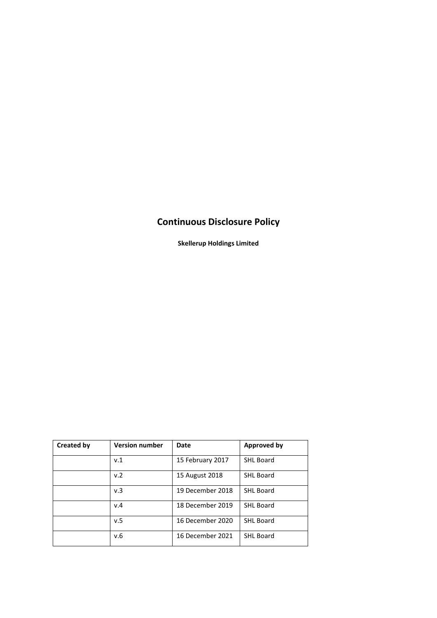# **Continuous Disclosure Policy**

**Skellerup Holdings Limited**

| <b>Created by</b> | <b>Version number</b> | Date             | <b>Approved by</b> |
|-------------------|-----------------------|------------------|--------------------|
|                   | v.1                   | 15 February 2017 | <b>SHL Board</b>   |
|                   | v.2                   | 15 August 2018   | <b>SHL Board</b>   |
|                   | v.3                   | 19 December 2018 | <b>SHL Board</b>   |
|                   | v.4                   | 18 December 2019 | <b>SHL Board</b>   |
|                   | v.5                   | 16 December 2020 | <b>SHL Board</b>   |
|                   | v.6                   | 16 December 2021 | <b>SHL Board</b>   |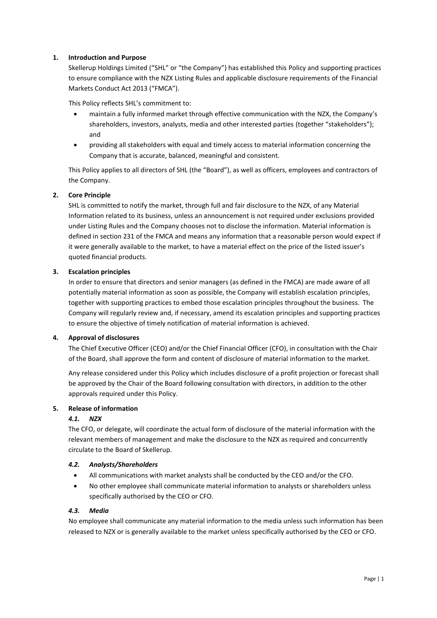# **1. Introduction and Purpose**

Skellerup Holdings Limited ("SHL" or "the Company") has established this Policy and supporting practices to ensure compliance with the NZX Listing Rules and applicable disclosure requirements of the Financial Markets Conduct Act 2013 ("FMCA").

This Policy reflects SHL's commitment to:

- maintain a fully informed market through effective communication with the NZX, the Company's shareholders, investors, analysts, media and other interested parties (together "stakeholders"); and
- providing all stakeholders with equal and timely access to material information concerning the Company that is accurate, balanced, meaningful and consistent.

This Policy applies to all directors of SHL (the "Board"), as well as officers, employees and contractors of the Company.

# **2. Core Principle**

SHL is committed to notify the market, through full and fair disclosure to the NZX, of any Material Information related to its business, unless an announcement is not required under exclusions provided under Listing Rules and the Company chooses not to disclose the information. Material information is defined in section 231 of the FMCA and means any information that a reasonable person would expect if it were generally available to the market, to have a material effect on the price of the listed issuer's quoted financial products.

## **3. Escalation principles**

In order to ensure that directors and senior managers (as defined in the FMCA) are made aware of all potentially material information as soon as possible, the Company will establish escalation principles, together with supporting practices to embed those escalation principles throughout the business. The Company will regularly review and, if necessary, amend its escalation principles and supporting practices to ensure the objective of timely notification of material information is achieved.

## **4. Approval of disclosures**

The Chief Executive Officer (CEO) and/or the Chief Financial Officer (CFO), in consultation with the Chair of the Board, shall approve the form and content of disclosure of material information to the market.

Any release considered under this Policy which includes disclosure of a profit projection or forecast shall be approved by the Chair of the Board following consultation with directors, in addition to the other approvals required under this Policy.

## **5. Release of information**

## *4.1. NZX*

The CFO, or delegate, will coordinate the actual form of disclosure of the material information with the relevant members of management and make the disclosure to the NZX as required and concurrently circulate to the Board of Skellerup.

## *4.2. Analysts/Shareholders*

- All communications with market analysts shall be conducted by the CEO and/or the CFO.
- No other employee shall communicate material information to analysts or shareholders unless specifically authorised by the CEO or CFO.

## *4.3. Media*

No employee shall communicate any material information to the media unless such information has been released to NZX or is generally available to the market unless specifically authorised by the CEO or CFO.